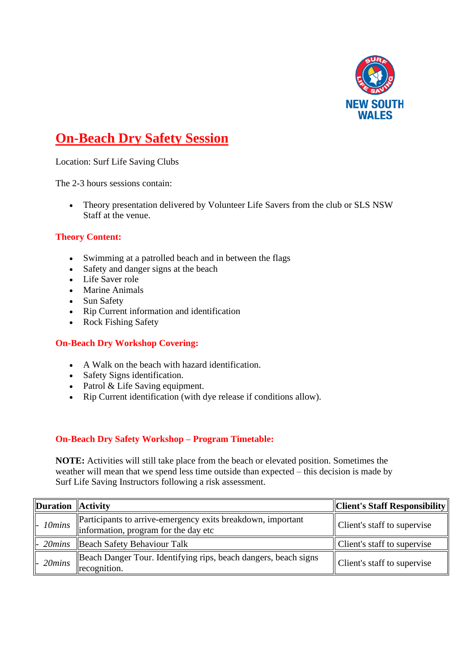

# **On-Beach Dry Safety Session**

Location: Surf Life Saving Clubs

The 2-3 hours sessions contain:

• Theory presentation delivered by Volunteer Life Savers from the club or SLS NSW Staff at the venue.

### **Theory Content:**

- Swimming at a patrolled beach and in between the flags
- Safety and danger signs at the beach
- Life Saver role
- Marine Animals
- Sun Safety
- Rip Current information and identification
- Rock Fishing Safety

#### **On-Beach Dry Workshop Covering:**

- A Walk on the beach with hazard identification.
- Safety Signs identification.
- Patrol & Life Saving equipment.
- Rip Current identification (with dye release if conditions allow).

#### **On-Beach Dry Safety Workshop – Program Timetable:**

**NOTE:** Activities will still take place from the beach or elevated position. Sometimes the weather will mean that we spend less time outside than expected – this decision is made by Surf Life Saving Instructors following a risk assessment.

| Duration Activity        |                                                                                                     | $\ $ Client's Staff Responsibility |
|--------------------------|-----------------------------------------------------------------------------------------------------|------------------------------------|
| $\parallel$ - 10 $minus$ | Participants to arrive-emergency exits breakdown, important<br>information, program for the day etc | Client's staff to supervise        |
|                          | $\parallel$ - 20 <i>mins</i>   Beach Safety Behaviour Talk                                          | Client's staff to supervise        |
| $\sim$ 20 $minus$        | Beach Danger Tour. Identifying rips, beach dangers, beach signs<br>recognition.                     | Client's staff to supervise        |